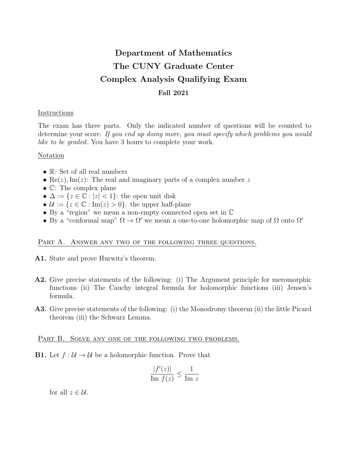# Department of Mathematics The CUNY Graduate Center Complex Analysis Qualifying Exam Fall 2021

## Instructions

The exam has three parts. Only the indicated number of questions will be counted to determine your score. If you end up doing more, you must specify which problems you would like to be graded. You have 3 hours to complete your work.

### Notation

- R: Set of all real numbers
- Re(z), Im(z): The real and imaginary parts of a complex number z
- C: The complex plane
- $\Delta := \{z \in \mathbb{C} : |z| < 1\}$ : the open unit disk
- $\mathcal{U} := \{z \in \mathbb{C} : \text{Im}(z) > 0\}$ : the upper half-plane
- By a "region" we mean a non-empty connected open set in C
- By a "conformal map"  $\Omega \to \Omega'$  we mean a one-to-one holomorphic map of  $\Omega$  onto  $\Omega'$

### PART A. ANSWER ANY TWO OF THE FOLLOWING THREE QUESTIONS.

- A1. State and prove Hurwitz's theorem.
- A2. Give precise statements of the following: (i) The Argument principle for meromorphic functions (ii) The Cauchy integral formula for holomorphic functions (iii) Jensen's formula.
- A3. Give precise statements of the following: (i) the Monodromy theorem (ii) the little Picard theorem (iii) the Schwarz Lemma.

PART B. SOLVE ANY ONE OF THE FOLLOWING TWO PROBLEMS.

**B1.** Let  $f: \mathcal{U} \to \mathcal{U}$  be a holomorphic function. Prove that

$$
\frac{|f'(z)|}{\text{Im } f(z)} \le \frac{1}{\text{Im } z}
$$

for all  $z \in \mathcal{U}$ .